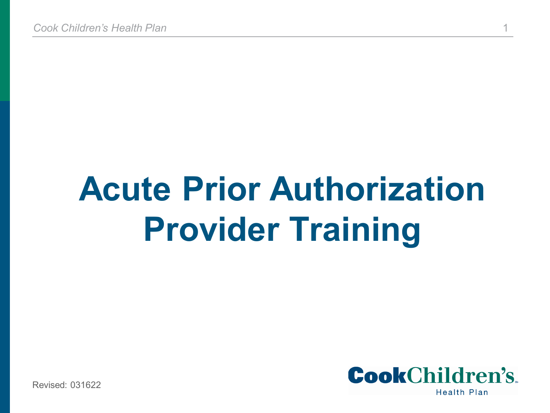# **Acute Prior Authorization Provider Training**



Revised: 031622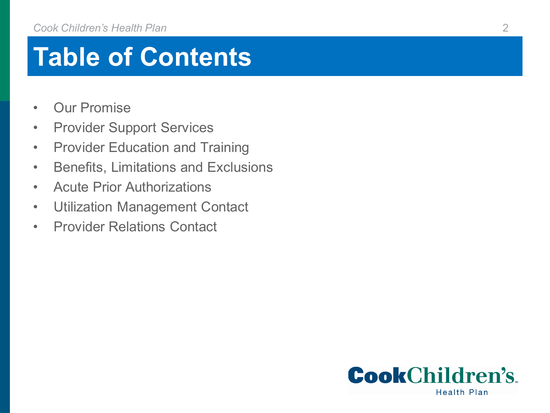### **Table of Contents**

- Our Promise
- Provider Support Services
- Provider Education and Training
- Benefits, Limitations and Exclusions
- Acute Prior Authorizations
- Utilization Management Contact
- Provider Relations Contact

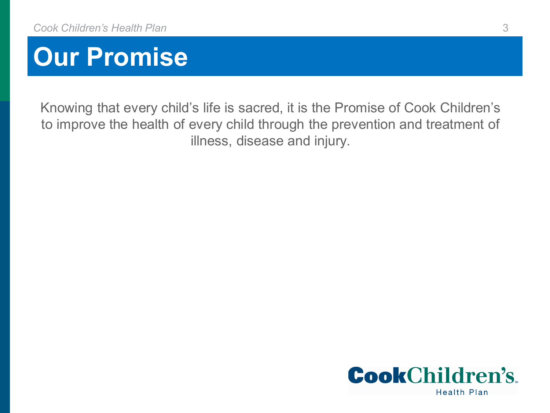

Knowing that every child's life is sacred, it is the Promise of Cook Children's to improve the health of every child through the prevention and treatment of illness, disease and injury.

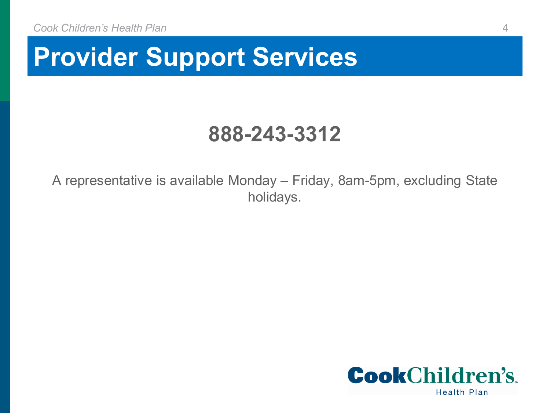#### **Provider Support Services**

#### **888-243-3312**

A representative is available Monday – Friday, 8am-5pm, excluding State holidays.

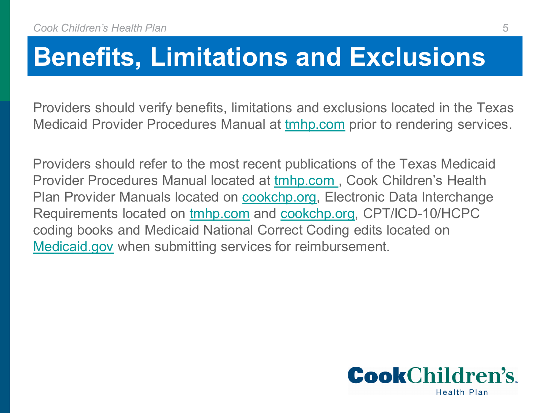#### **Benefits, Limitations and Exclusions**

Providers should verify benefits, limitations and exclusions located in the Texas Medicaid Provider Procedures Manual at tmhp.com prior to rendering services.

Providers should refer to the most recent publications of the Texas Medicaid Provider Procedures Manual located at tmhp.com , Cook Children's Health Plan Provider Manuals located on **cookchp.org**, Electronic Data Interchange Requirements located on [tmhp.com](https://www.tmhp.com/topics/edi) and [cookchp.org,](https://cookchp.org/providers/Pages/electronic-submission-services.aspx) CPT/ICD-10/HCPC coding books and Medicaid National Correct Coding edits located on [Medicaid.gov](https://www.medicaid.gov/medicaid/program-integrity/national-correct-coding-initiative-medicaid/index.html) when submitting services for reimbursement.

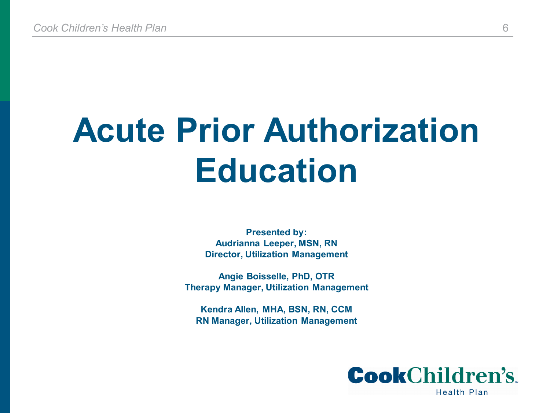# **Acute Prior Authorization Education**

**Presented by: Audrianna Leeper, MSN, RN Director, Utilization Management**

**Angie Boisselle, PhD, OTR Therapy Manager, Utilization Management**

**Kendra Allen, MHA, BSN, RN, CCM RN Manager, Utilization Management**

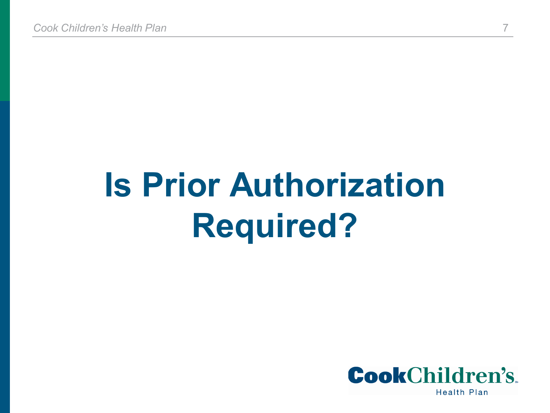# **Is Prior Authorization Required?**

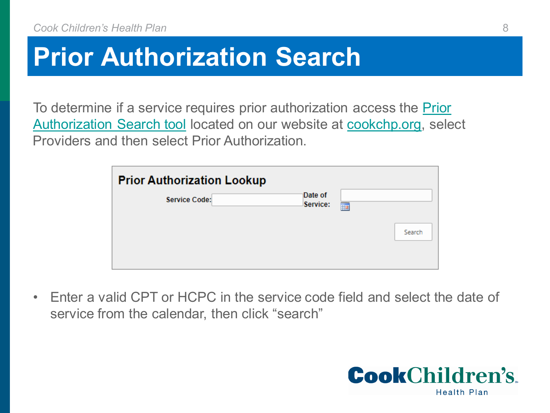#### **Prior Authorization Search**

[To determine if a service requires prior authorization access the Prior](https://cookchp.org/providers/Pages/prior-authorization-search.aspx)  Authorization Search tool located on our website at [cookchp.org,](http://www.cookchp.org/) select Providers and then select Prior Authorization.

| <b>Prior Authorization Lookup</b> |                     |   |        |
|-----------------------------------|---------------------|---|--------|
| <b>Service Code:</b>              | Date of<br>Service: | 前 |        |
|                                   |                     |   | Search |
|                                   |                     |   |        |

• Enter a valid CPT or HCPC in the service code field and select the date of service from the calendar, then click "search"

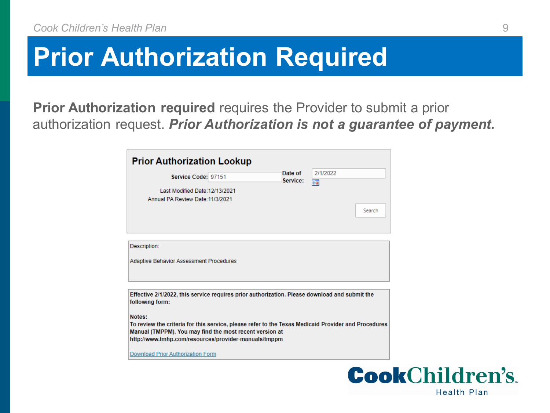#### **Prior Authorization Required**

**Prior Authorization required** requires the Provider to submit a prior authorization request. *Prior Authorization is not a guarantee of payment.* 

| Service Code: 97151                                                                                                                                                                                                              | Date of<br>Service: | 2/1/2022<br>圜 |        |
|----------------------------------------------------------------------------------------------------------------------------------------------------------------------------------------------------------------------------------|---------------------|---------------|--------|
| Last Modified Date: 12/13/2021<br>Annual PA Review Date: 11/3/2021                                                                                                                                                               |                     |               | Search |
| Description:<br><b>Adaptive Behavior Assessment Procedures</b>                                                                                                                                                                   |                     |               |        |
| Effective 2/1/2022, this service requires prior authorization. Please download and submit the<br>following form:                                                                                                                 |                     |               |        |
| Notes:<br>To review the criteria for this service, please refer to the Texas Medicaid Provider and Procedures<br>Manual (TMPPM). You may find the most recent version at<br>http://www.tmhp.com/resources/provider-manuals/tmppm |                     |               |        |
|                                                                                                                                                                                                                                  |                     |               |        |

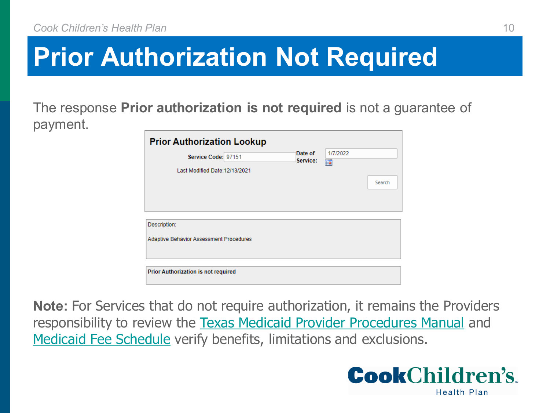#### **Prior Authorization Not Required**

The response **Prior authorization is not required** is not a guarantee of payment.

| <b>Prior Authorization Lookup</b>                       |                     |               |        |
|---------------------------------------------------------|---------------------|---------------|--------|
| Service Code: 97151<br>Last Modified Date: 12/13/2021   | Date of<br>Service: | 1/7/2022<br>前 | Search |
| Description:<br>Adaptive Behavior Assessment Procedures |                     |               |        |
| Prior Authorization is not required                     |                     |               |        |

**Note:** For Services that do not require authorization, it remains the Providers responsibility to review the [Texas Medicaid Provider Procedures Manual](https://www.tmhp.com/resources/provider-manuals/tmppm) and [Medicaid Fee Schedule](https://public.tmhp.com/FeeSchedules/Default.aspx) verify benefits, limitations and exclusions.

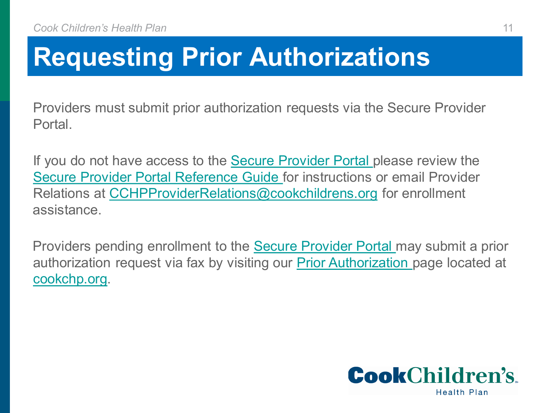### **Requesting Prior Authorizations**

Providers must submit prior authorization requests via the Secure Provider Portal.

If you do not have access to the **[Secure Provider Portal](https://epiccarelink.cookchp.org/LinkHealthPlan/common/epic_login.asp) please review the** [Secure Provider Portal Reference Guide f](https://cookchp.org/providers/Pages/provider-relations.aspx)or instructions or email Provider Relations at [CCHPProviderRelations@cookchildrens.org](mailto:CCHPProviderRelations@cookchildrens.org) for enrollment assistance.

Providers pending enrollment to the [Secure Provider Portal](https://epiccarelink.cookchp.org/LinkHealthPlan/common/epic_login.asp) may submit a prior authorization request via fax by visiting our [Prior Authorization](https://cookchp.org/providers/Pages/prior-authorization-search.aspx) page located at cookchp.org.

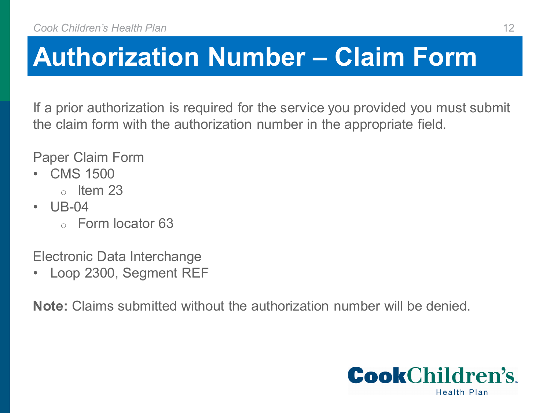#### **Authorization Number – Claim Form**

If a prior authorization is required for the service you provided you must submit the claim form with the authorization number in the appropriate field.

Paper Claim Form

- CMS 1500
	- $\circ$  Item 23
- UB-04
	- o Form locator 63

Electronic Data Interchange

• Loop 2300, Segment REF

**Note:** Claims submitted without the authorization number will be denied.

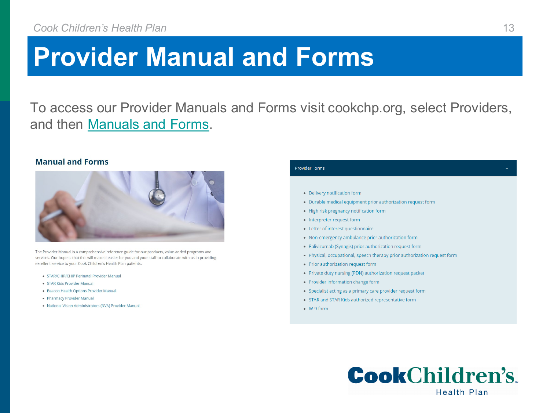#### **Provider Manual and Forms**

To access our Provider Manuals and Forms visit cookchp.org, select Providers, and then [Manuals and Forms.](https://cookchp.org/providers/Pages/provider-manual-and-forms.aspx)

#### **Manual and Forms**



The Provider Manual is a comprehensive reference guide for our products, value-added programs and services. Our hope is that this will make it easier for you and your staff to collaborate with us in providing excellent service to your Cook Children's Health Plan patients.

- STAR/CHIP/CHIP Perinatal Provider Manual
- · STAR Kids Provider Manual
- · Beacon Health Options Provider Manual
- . Pharmacy Provider Manual
- . National Vision Administrators (NVA) Provider Manual

#### **Provider Forms** • Delivery notification form • Durable medical equipment prior authorization request form • High risk pregnancy notification form • Interpreter request form • Letter of interest questionnaire • Non-emergency ambulance prior authorization form • Palivizumab (Synagis) prior authorization request form • Physical, occupational, speech therapy prior authorization request form • Prior authorization request form • Private duty nursing (PDN) authorization request packet • Provider information change form • Specialist acting as a primary care provider request form • STAR and STAR Kids authorized representative form  $\bullet$  W-9 form

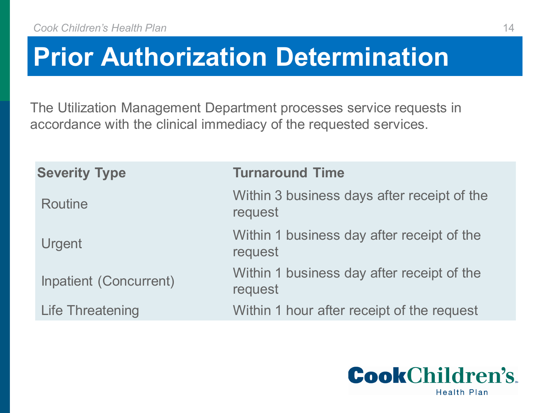#### **Prior Authorization Determination**

The Utilization Management Department processes service requests in accordance with the clinical immediacy of the requested services.

| <b>Severity Type</b>          | <b>Turnaround Time</b>                                 |
|-------------------------------|--------------------------------------------------------|
| <b>Routine</b>                | Within 3 business days after receipt of the<br>request |
| Urgent                        | Within 1 business day after receipt of the<br>request  |
| <b>Inpatient (Concurrent)</b> | Within 1 business day after receipt of the<br>request  |
| <b>Life Threatening</b>       | Within 1 hour after receipt of the request             |

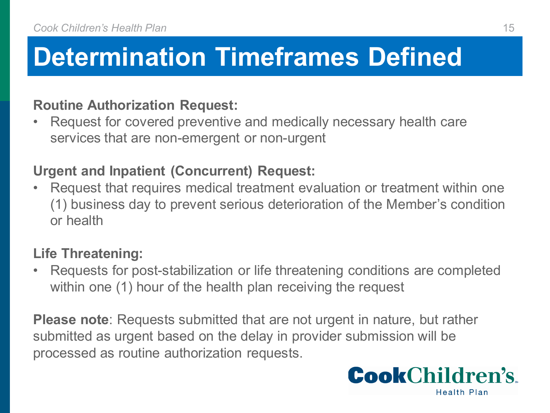#### **Determination Timeframes Defined**

#### **Routine Authorization Request:**

Request for covered preventive and medically necessary health care services that are non-emergent or non-urgent

#### **Urgent and Inpatient (Concurrent) Request:**

• Request that requires medical treatment evaluation or treatment within one (1) business day to prevent serious deterioration of the Member's condition or health

#### **Life Threatening:**

• Requests for post-stabilization or life threatening conditions are completed within one (1) hour of the health plan receiving the request

**Please note**: Requests submitted that are not urgent in nature, but rather submitted as urgent based on the delay in provider submission will be processed as routine authorization requests.

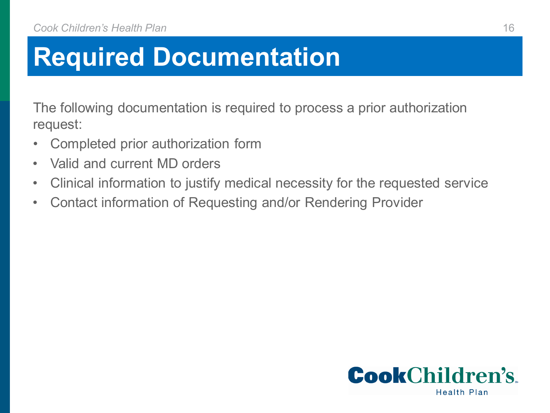The following documentation is required to process a prior authorization request:

- Completed prior authorization form
- Valid and current MD orders
- Clinical information to justify medical necessity for the requested service
- Contact information of Requesting and/or Rendering Provider

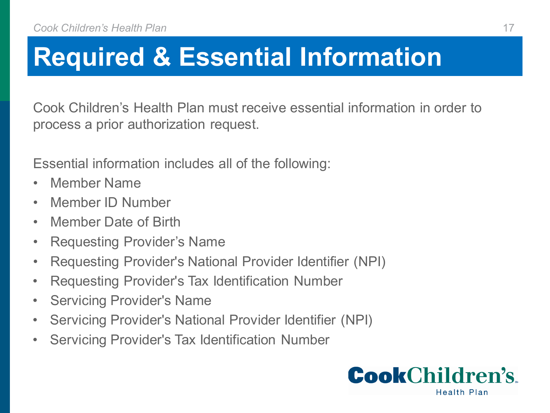## **Required & Essential Information**

Cook Children's Health Plan must receive essential information in order to process a prior authorization request.

Essential information includes all of the following:

- Member Name
- Member ID Number
- Member Date of Birth
- Requesting Provider's Name
- Requesting Provider's National Provider Identifier (NPI)
- Requesting Provider's Tax Identification Number
- Servicing Provider's Name
- Servicing Provider's National Provider Identifier (NPI)
- Servicing Provider's Tax Identification Number

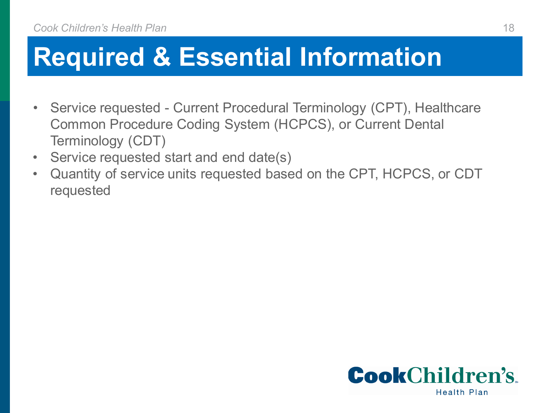### **Required & Essential Information**

- Service requested Current Procedural Terminology (CPT), Healthcare Common Procedure Coding System (HCPCS), or Current Dental Terminology (CDT)
- Service requested start and end date(s)
- Quantity of service units requested based on the CPT, HCPCS, or CDT requested

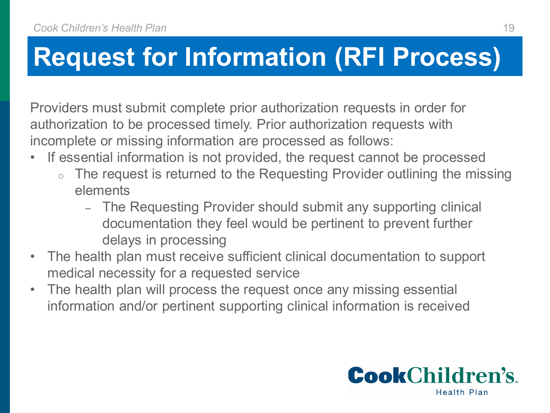#### **Request for Information (RFI Process)**

Providers must submit complete prior authorization requests in order for authorization to be processed timely. Prior authorization requests with incomplete or missing information are processed as follows:

- If essential information is not provided, the request cannot be processed
	- The request is returned to the Requesting Provider outlining the missing elements
		- ‒ The Requesting Provider should submit any supporting clinical documentation they feel would be pertinent to prevent further delays in processing
- The health plan must receive sufficient clinical documentation to support medical necessity for a requested service
- The health plan will process the request once any missing essential information and/or pertinent supporting clinical information is received

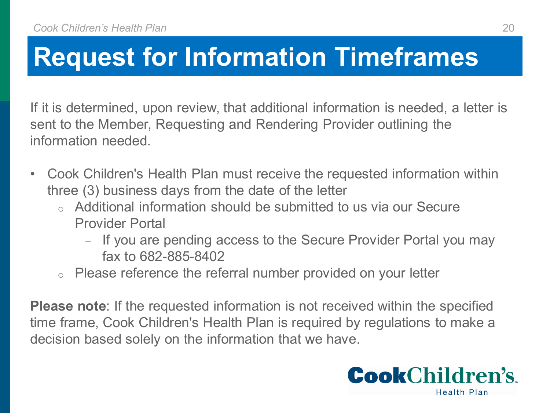#### **Request for Information Timeframes**

If it is determined, upon review, that additional information is needed, a letter is sent to the Member, Requesting and Rendering Provider outlining the information needed.

- Cook Children's Health Plan must receive the requested information within three (3) business days from the date of the letter
	- o Additional information should be submitted to us via our Secure Provider Portal
		- ‒ If you are pending access to the Secure Provider Portal you may fax to 682-885-8402
	- o Please reference the referral number provided on your letter

**Please note**: If the requested information is not received within the specified time frame, Cook Children's Health Plan is required by regulations to make a decision based solely on the information that we have.

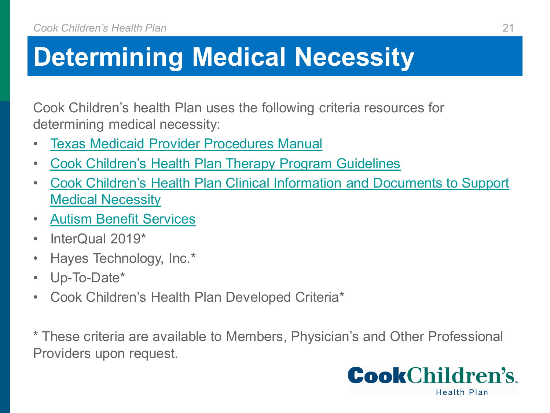### **Determining Medical Necessity**

Cook Children's health Plan uses the following criteria resources for determining medical necessity:

- [Texas Medicaid Provider Procedures Manual](http://www.tmhp.com/Pages/Medicaid/Medicaid_Publications_Provider_manual.aspx)
- [Cook Children's Health Plan Therapy Program Guidelines](https://cookchp.org/providers/Pages/therapy-information.aspx)
- [Cook Children's Health Plan Clinical Information and Documents to Support](https://cookchp.org/SiteCollectionDocuments/pdfs/prior-authorization/Clinical-Info-and-Docs-to-Support-Medical-Necessity.pdf)  Medical Necessity
- [Autism Benefit Services](https://www.tmhp.com/resources/provider-manuals/tmppm)
- InterQual 2019<sup>\*</sup>
- Hayes Technology, Inc.\*
- Up-To-Date\*
- Cook Children's Health Plan Developed Criteria\*

\* These criteria are available to Members, Physician's and Other Professional Providers upon request.

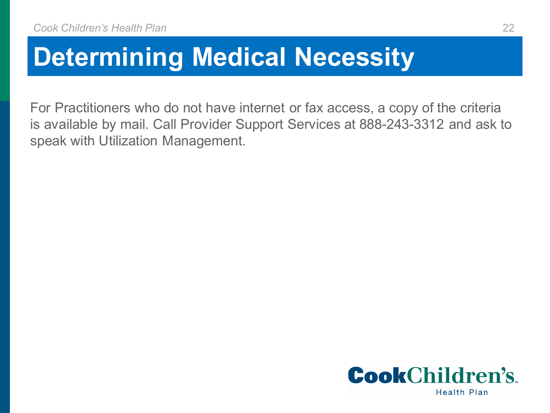#### **Determining Medical Necessity**

For Practitioners who do not have internet or fax access, a copy of the criteria is available by mail. Call Provider Support Services at 888-243-3312 and ask to speak with Utilization Management.

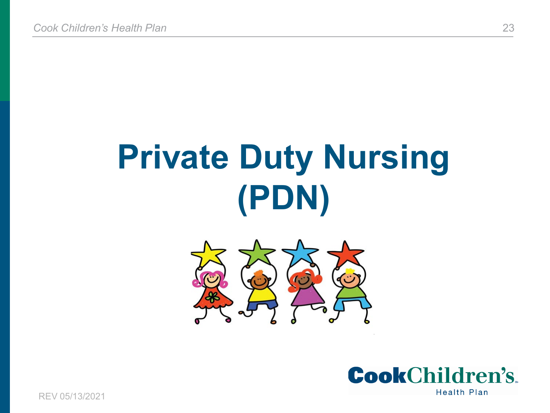# **Private Duty Nursing (PDN)**





REV 05/13/2021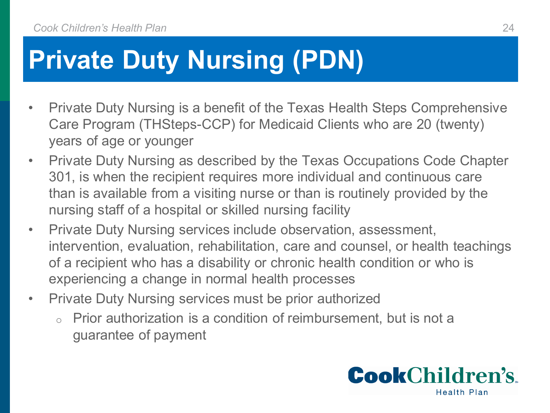## **Private Duty Nursing (PDN)**

- Private Duty Nursing is a benefit of the Texas Health Steps Comprehensive Care Program (THSteps-CCP) for Medicaid Clients who are 20 (twenty) years of age or younger
- Private Duty Nursing as described by the Texas Occupations Code Chapter 301, is when the recipient requires more individual and continuous care than is available from a visiting nurse or than is routinely provided by the nursing staff of a hospital or skilled nursing facility
- Private Duty Nursing services include observation, assessment, intervention, evaluation, rehabilitation, care and counsel, or health teachings of a recipient who has a disability or chronic health condition or who is experiencing a change in normal health processes
- Private Duty Nursing services must be prior authorized
	- o Prior authorization is a condition of reimbursement, but is not a guarantee of payment

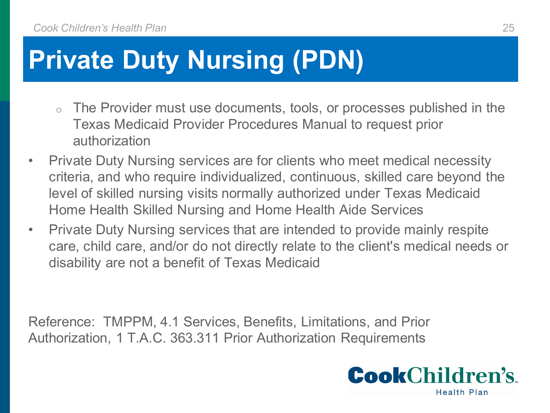## **Private Duty Nursing (PDN)**

- o The Provider must use documents, tools, or processes published in the Texas Medicaid Provider Procedures Manual to request prior authorization
- Private Duty Nursing services are for clients who meet medical necessity criteria, and who require individualized, continuous, skilled care beyond the level of skilled nursing visits normally authorized under Texas Medicaid Home Health Skilled Nursing and Home Health Aide Services
- Private Duty Nursing services that are intended to provide mainly respite care, child care, and/or do not directly relate to the client's medical needs or disability are not a benefit of Texas Medicaid

Reference: TMPPM, 4.1 Services, Benefits, Limitations, and Prior Authorization, 1 T.A.C. 363.311 Prior Authorization Requirements

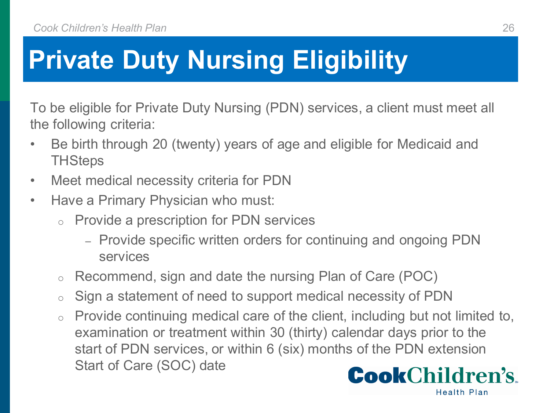# **Private Duty Nursing Eligibility**

To be eligible for Private Duty Nursing (PDN) services, a client must meet all the following criteria:

- Be birth through 20 (twenty) years of age and eligible for Medicaid and **THSteps**
- Meet medical necessity criteria for PDN
- Have a Primary Physician who must:
	- o Provide a prescription for PDN services
		- Provide specific written orders for continuing and ongoing PDN services
	- o Recommend, sign and date the nursing Plan of Care (POC)
	- o Sign a statement of need to support medical necessity of PDN
	- o Provide continuing medical care of the client, including but not limited to, examination or treatment within 30 (thirty) calendar days prior to the start of PDN services, or within 6 (six) months of the PDN extension Start of Care (SOC) date**CookChildren's**



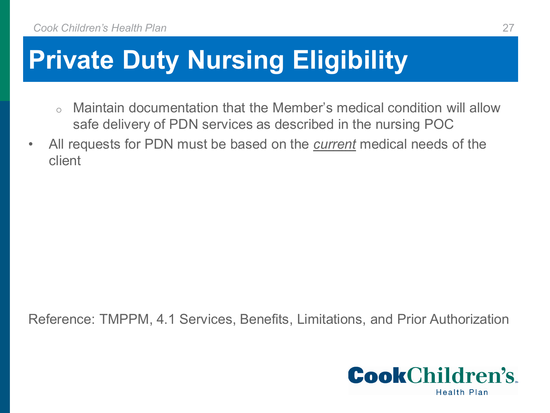## **Private Duty Nursing Eligibility**

- o Maintain documentation that the Member's medical condition will allow safe delivery of PDN services as described in the nursing POC
- All requests for PDN must be based on the *current* medical needs of the client

Reference: TMPPM, 4.1 Services, Benefits, Limitations, and Prior Authorization

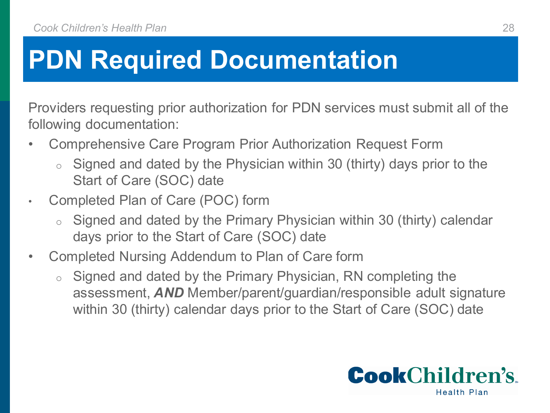Providers requesting prior authorization for PDN services must submit all of the following documentation:

- Comprehensive Care Program Prior Authorization Request Form
	- Signed and dated by the Physician within 30 (thirty) days prior to the Start of Care (SOC) date
- Completed Plan of Care (POC) form
	- Signed and dated by the Primary Physician within 30 (thirty) calendar days prior to the Start of Care (SOC) date
- Completed Nursing Addendum to Plan of Care form
	- o Signed and dated by the Primary Physician, RN completing the assessment, *AND* Member/parent/guardian/responsible adult signature within 30 (thirty) calendar days prior to the Start of Care (SOC) date

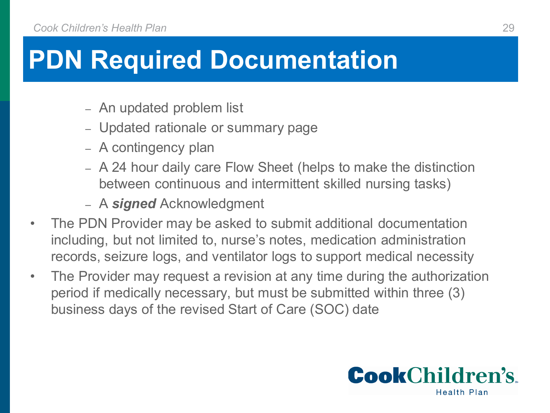- An updated problem list
- Updated rationale or summary page
- A contingency plan
- A 24 hour daily care Flow Sheet (helps to make the distinction between continuous and intermittent skilled nursing tasks)
- A *signed* Acknowledgment
- The PDN Provider may be asked to submit additional documentation including, but not limited to, nurse's notes, medication administration records, seizure logs, and ventilator logs to support medical necessity
- The Provider may request a revision at any time during the authorization period if medically necessary, but must be submitted within three (3) business days of the revised Start of Care (SOC) date

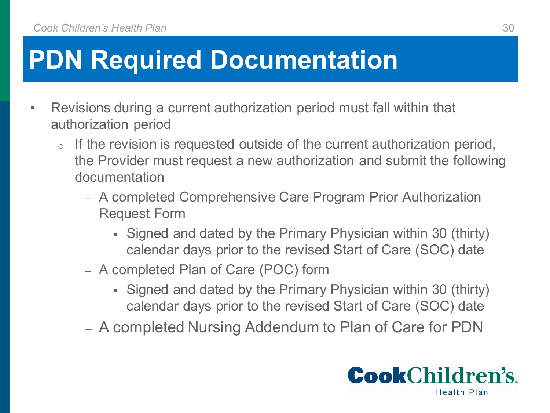- Revisions during a current authorization period must fall within that authorization period
	- If the revision is requested outside of the current authorization period, the Provider must request a new authorization and submit the following documentation
		- ‒ A completed Comprehensive Care Program Prior Authorization Request Form
			- Signed and dated by the Primary Physician within 30 (thirty) calendar days prior to the revised Start of Care (SOC) date
		- ‒ A completed Plan of Care (POC) form
			- Signed and dated by the Primary Physician within 30 (thirty) calendar days prior to the revised Start of Care (SOC) date
		- ‒ A completed Nursing Addendum to Plan of Care for PDN

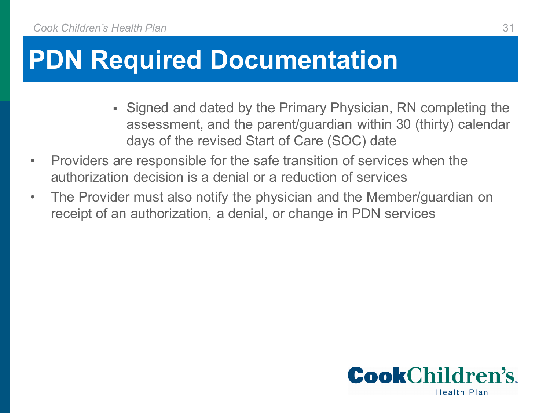- Signed and dated by the Primary Physician, RN completing the assessment, and the parent/guardian within 30 (thirty) calendar days of the revised Start of Care (SOC) date
- Providers are responsible for the safe transition of services when the authorization decision is a denial or a reduction of services
- The Provider must also notify the physician and the Member/guardian on receipt of an authorization, a denial, or change in PDN services

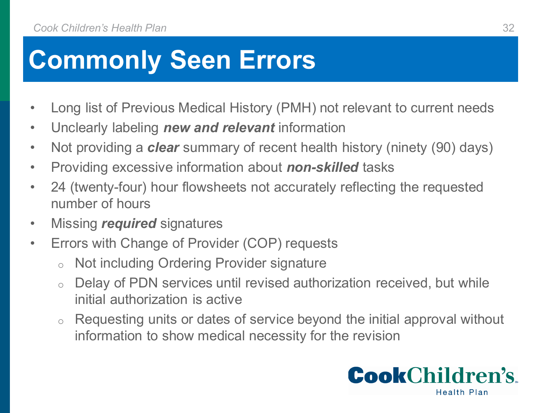#### **Commonly Seen Errors**

- Long list of Previous Medical History (PMH) not relevant to current needs
- Unclearly labeling *new and relevant* information
- Not providing a *clear* summary of recent health history (ninety (90) days)
- Providing excessive information about *non-skilled* tasks
- 24 (twenty-four) hour flowsheets not accurately reflecting the requested number of hours
- Missing *required* signatures
- Errors with Change of Provider (COP) requests
	- o Not including Ordering Provider signature
	- o Delay of PDN services until revised authorization received, but while initial authorization is active
	- o Requesting units or dates of service beyond the initial approval without information to show medical necessity for the revision

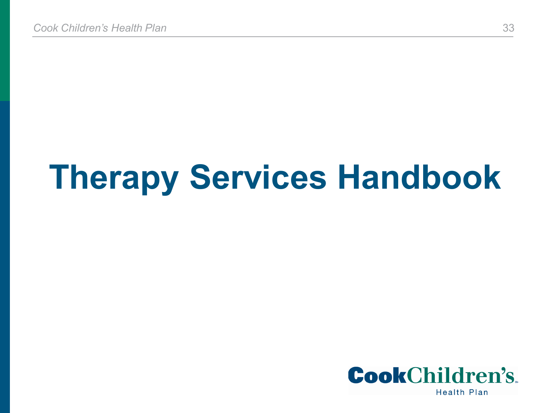# **Therapy Services Handbook**

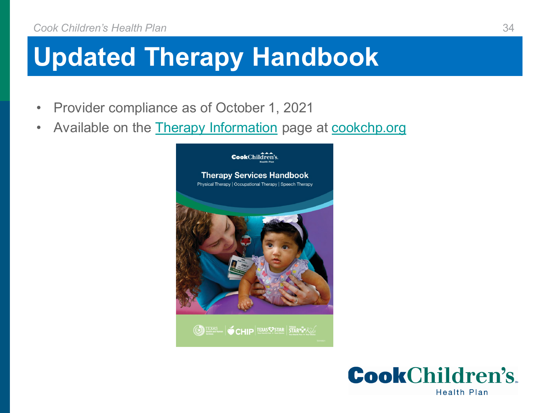## **Updated Therapy Handbook**

- Provider compliance as of October 1, 2021
- Available on the **Therapy Information** page at **cookchp.org**



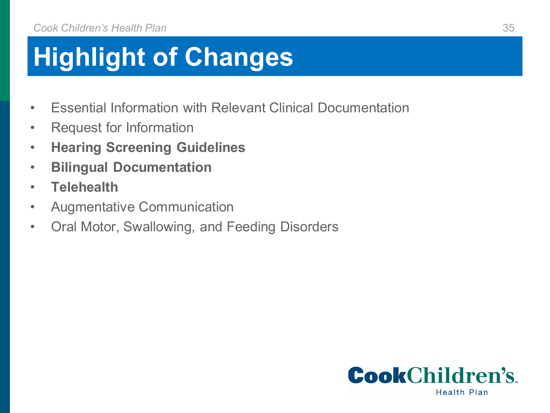## **Highlight of Changes**

- Essential Information with Relevant Clinical Documentation
- Request for Information
- **Hearing Screening Guidelines**
- **Bilingual Documentation**
- **Telehealth**
- Augmentative Communication
- Oral Motor, Swallowing, and Feeding Disorders

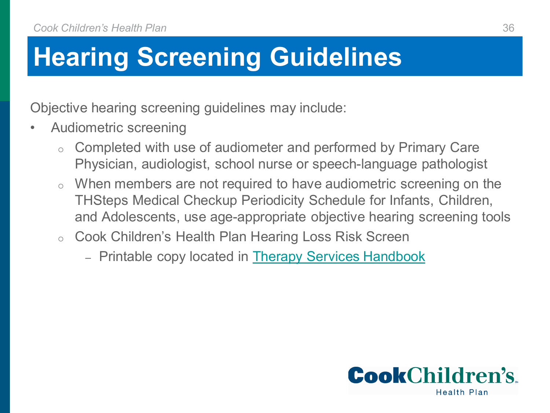## **Hearing Screening Guidelines**

Objective hearing screening guidelines may include:

- Audiometric screening
	- Completed with use of audiometer and performed by Primary Care Physician, audiologist, school nurse or speech-language pathologist
	- When members are not required to have audiometric screening on the THSteps Medical Checkup Periodicity Schedule for Infants, Children, and Adolescents, use age-appropriate objective hearing screening tools
	- o Cook Children's Health Plan Hearing Loss Risk Screen
		- ‒ Printable copy located in [Therapy Services Handbook](https://cookchp.org/SiteCollectionDocuments/pdfs/provider-therapy/Therapy-Services-Handbook.pdf)

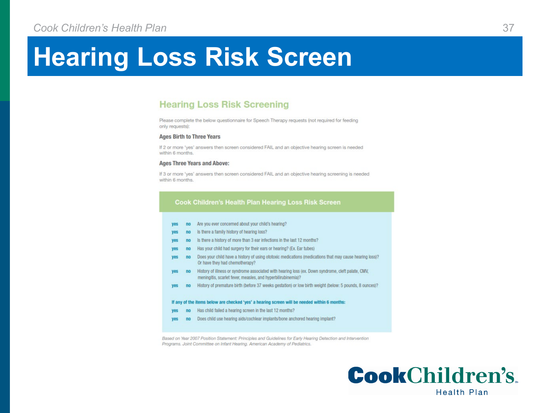#### **Hearing Loss Risk Screen**

#### **Hearing Loss Risk Screening**

Please complete the below questionnaire for Speech Therapy requests (not required for feeding only requests):

#### **Ages Birth to Three Years**

If 2 or more 'yes' answers then screen considered FAIL and an objective hearing screen is needed within 6 months.

#### **Ages Three Years and Above:**

If 3 or more 'yes' answers then screen considered FAIL and an objective hearing screening is needed within 6 months.

#### **Cook Children's Health Plan Hearing Loss Risk Screen**

- no Are you ever concerned about your child's hearing? **Ves**
- no Is there a family history of hearing loss?
- no Is there a history of more than 3 ear infections in the last 12 months?
- no Has your child had surgery for their ears or hearing? (Ex. Ear tubes)
- no Does your child have a history of using ototoxic medications (medications that may cause hearing loss)? Or have they had chemotherapy?
- no History of illness or syndrome associated with hearing loss (ex. Down syndrome, cleft palate, CMV, ves meningitis, scarlet fever, measles, and hyperbilirubinemia)?
- no History of premature birth (before 37 weeks gestation) or low birth weight (below: 5 pounds, 8 ounces)? yes

#### If any of the items below are checked 'yes' a hearing screen will be needed within 6 months:

- no Has child failed a hearing screen in the last 12 months?
- no Does child use hearing aids/cochlear implants/bone anchored hearing implant?

Based on Year 2007 Position Statement: Principles and Guidelines for Early Hearing Detection and Intervention Programs. Joint Committee on Infant Hearing. American Academy of Pediatrics.

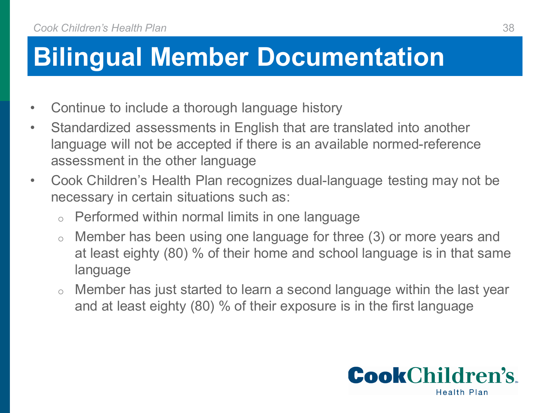## **Bilingual Member Documentation**

- Continue to include a thorough language history
- Standardized assessments in English that are translated into another language will not be accepted if there is an available normed-reference assessment in the other language
- Cook Children's Health Plan recognizes dual-language testing may not be necessary in certain situations such as:
	- Performed within normal limits in one language
	- o Member has been using one language for three (3) or more years and at least eighty (80) % of their home and school language is in that same language
	- o Member has just started to learn a second language within the last year and at least eighty (80) % of their exposure is in the first language

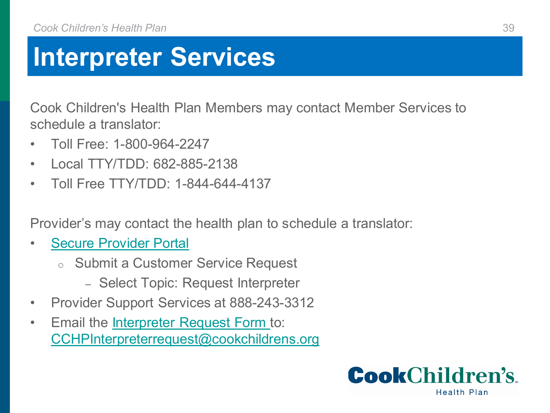#### **Interpreter Services**

Cook Children's Health Plan Members may contact Member Services to schedule a translator:

- Toll Free: 1-800-964-2247
- Local TTY/TDD: 682-885-2138
- Toll Free TTY/TDD: 1-844-644-4137

Provider's may contact the health plan to schedule a translator:

- **[Secure Provider Portal](https://epiccarelink.cookchp.org/LinkHealthPlan/common/epic_login.asp)** 
	- o Submit a Customer Service Request
		- ‒ Select Topic: Request Interpreter
- Provider Support Services at 888-243-3312
- Email the [Interpreter Request Form t](https://cookchp.org/providers/Pages/provider-manual-and-forms.aspx)o: [CCHPInterpreterrequest@cookchildrens.org](mailto:CCHPInterpreterrequest@cookchildrens.org)

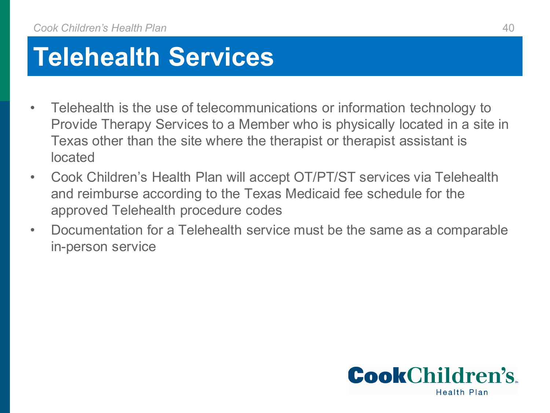### **Telehealth Services**

- Telehealth is the use of telecommunications or information technology to Provide Therapy Services to a Member who is physically located in a site in Texas other than the site where the therapist or therapist assistant is located
- Cook Children's Health Plan will accept OT/PT/ST services via Telehealth and reimburse according to the Texas Medicaid fee schedule for the approved Telehealth procedure codes
- Documentation for a Telehealth service must be the same as a comparable in-person service

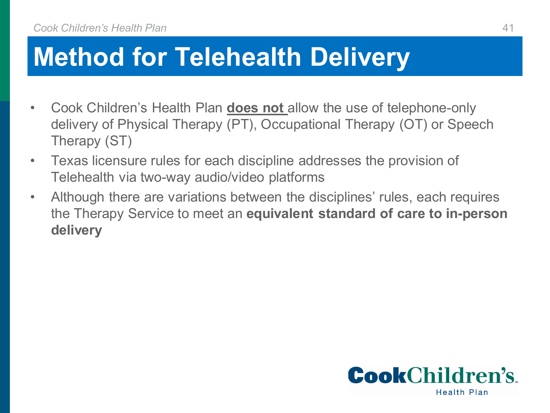#### **Method for Telehealth Delivery**

- Cook Children's Health Plan **does not** allow the use of telephone-only delivery of Physical Therapy (PT), Occupational Therapy (OT) or Speech Therapy (ST)
- Texas licensure rules for each discipline addresses the provision of Telehealth via two-way audio/video platforms
- Although there are variations between the disciplines' rules, each requires the Therapy Service to meet an **equivalent standard of care to in-person delivery**

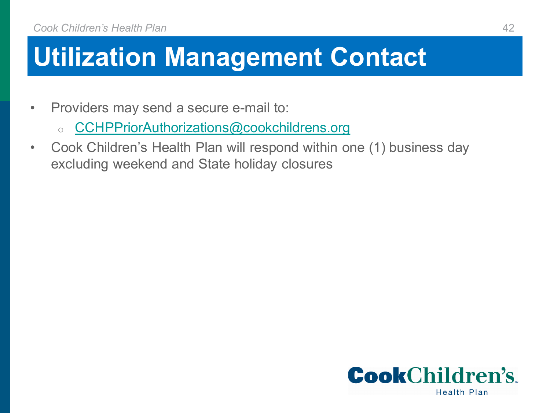### **Utilization Management Contact**

- Providers may send a secure e-mail to:
	- o [CCHPPriorAuthorizations@cookchildrens.org](mailto:CCHPPriorAuthorizations@cookchildrens.org)
- Cook Children's Health Plan will respond within one (1) business day excluding weekend and State holiday closures

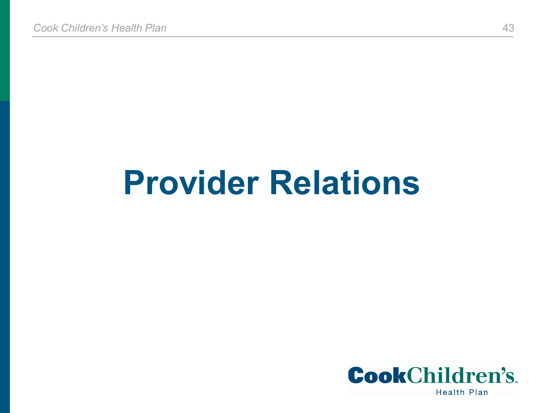# **Provider Relations**

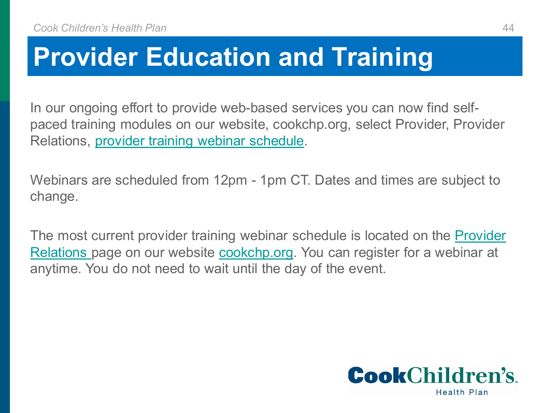#### **Provider Education and Training**

In our ongoing effort to provide web-based services you can now find selfpaced training modules on our website, cookchp.org, select Provider, Provider Relations, [provider training webinar schedule](https://cookchp.org/SiteCollectionDocuments/pdfs/provider-relations/Provider-Training-Webinar-Schedule-2022.pdf).

Webinars are scheduled from 12pm - 1pm CT. Dates and times are subject to change.

The most current provider training webinar schedule is located on the Provider [Relations page on our website cookchp.org. You can register for a webinar at](https://cookchp.org/providers/Pages/provider-relations.aspx)  anytime. You do not need to wait until the day of the event.

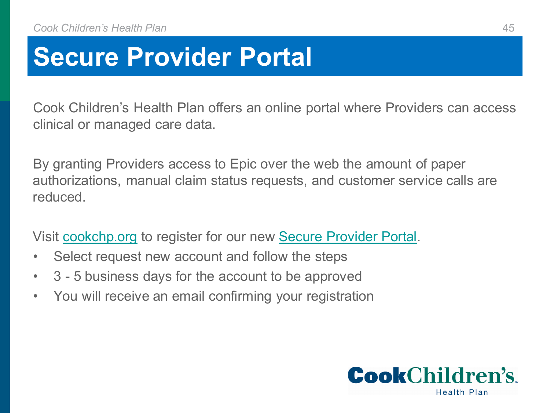#### **Secure Provider Portal**

Cook Children's Health Plan offers an online portal where Providers can access clinical or managed care data.

By granting Providers access to Epic over the web the amount of paper authorizations, manual claim status requests, and customer service calls are reduced.

Visit [cookchp.org](https://cookchp.org/Pages/default.aspx) to register for our new [Secure Provider Portal.](https://epiccarelink.cookchp.org/LinkHealthPlan/common/epic_login.asp)

- Select request new account and follow the steps
- 3 5 business days for the account to be approved
- You will receive an email confirming your registration

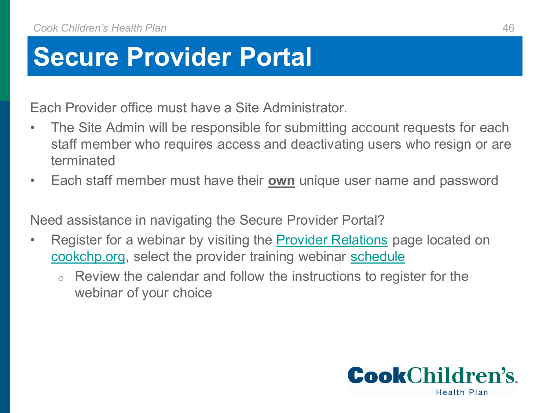#### **Secure Provider Portal**

Each Provider office must have a Site Administrator.

- The Site Admin will be responsible for submitting account requests for each staff member who requires access and deactivating users who resign or are terminated
- Each staff member must have their **own** unique user name and password

Need assistance in navigating the Secure Provider Portal?

- Register for a webinar by visiting the **[Provider Relations](https://cookchp.org/providers/Pages/provider-relations.aspx)** page located on [cookchp.org](https://cookchp.org/Pages/default.aspx), select the provider training webinar [schedule](https://cookchp.org/providers/Pages/provider-relations.aspx)
	- Review the calendar and follow the instructions to register for the webinar of your choice

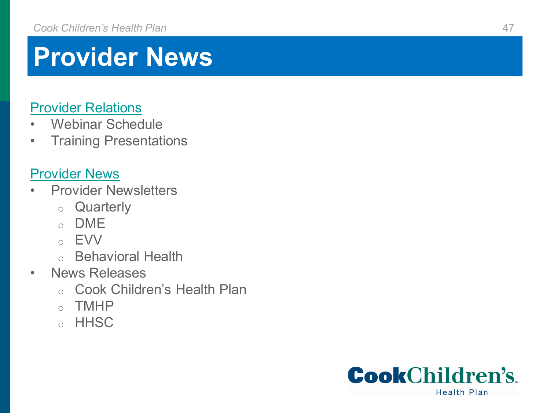#### **Provider News**

#### [Provider Relations](https://cookchp.org/providers/Pages/provider-relations.aspx)

- Webinar Schedule
- Training Presentations

#### [Provider News](https://cookchp.org/providers/Pages/provider-news.aspx)

- Provider Newsletters
	- o Quarterly
	- o DME
	- o EVV
	- o Behavioral Health
- News Releases
	- o Cook Children's Health Plan
	- o TMHP
	- o HHSC

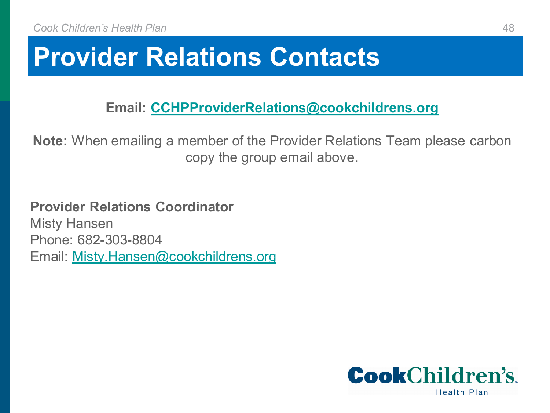#### **Provider Relations Contacts**

**Email: [CCHPProviderRelations@cookchildrens.org](mailto:CCHPProviderRelations@cookchildrens.org)**

**Note:** When emailing a member of the Provider Relations Team please carbon copy the group email above.

**Provider Relations Coordinator** Misty Hansen Phone: 682-303-8804 Email: [Misty.Hansen@cookchildrens.org](mailto:Misty.Hansen@cookchildrens.org)

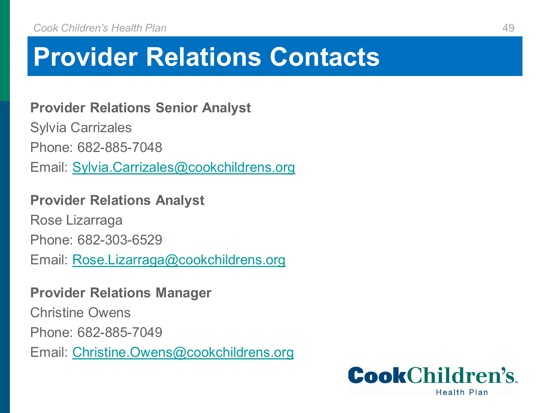#### **Provider Relations Contacts**

**Provider Relations Senior Analyst**

Sylvia Carrizales

Phone: 682-885-7048

Email: [Sylvia.Carrizales@cookchildrens.org](mailto:Sylvia.Carrizales@cookchildrens.org)

#### **Provider Relations Analyst**

Rose Lizarraga

Phone: 682-303-6529

Email: [Rose.Lizarraga@cookchildrens.org](mailto:Rose.Lizarraga@cookchildrens.org)

#### **Provider Relations Manager**

Christine Owens Phone: 682-885-7049 Email: [Christine.Owens@cookchildrens.org](mailto:Christine.Owens@cookchildrens.org)